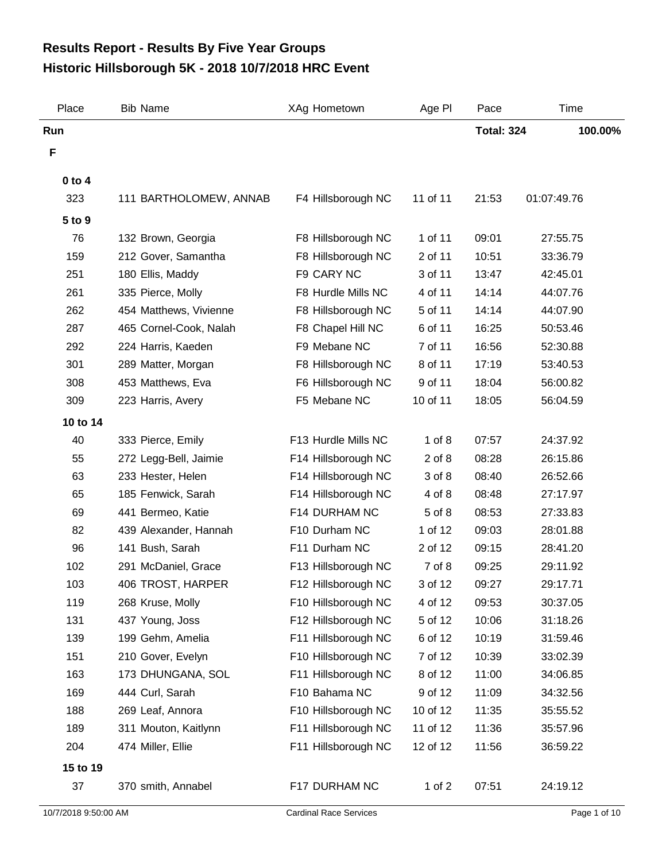## **Historic Hillsborough 5K - 2018 10/7/2018 HRC Event Results Report - Results By Five Year Groups**

| Place      | <b>Bib Name</b>        | XAg Hometown        | Age PI     | Pace              | Time        |
|------------|------------------------|---------------------|------------|-------------------|-------------|
| Run        |                        |                     |            | <b>Total: 324</b> | 100.00%     |
| F          |                        |                     |            |                   |             |
| $0$ to $4$ |                        |                     |            |                   |             |
| 323        | 111 BARTHOLOMEW, ANNAB | F4 Hillsborough NC  | 11 of 11   | 21:53             | 01:07:49.76 |
| 5 to 9     |                        |                     |            |                   |             |
| 76         | 132 Brown, Georgia     | F8 Hillsborough NC  | 1 of 11    | 09:01             | 27:55.75    |
| 159        | 212 Gover, Samantha    | F8 Hillsborough NC  | 2 of 11    | 10:51             | 33:36.79    |
| 251        | 180 Ellis, Maddy       | F9 CARY NC          | 3 of 11    | 13:47             | 42:45.01    |
| 261        | 335 Pierce, Molly      | F8 Hurdle Mills NC  | 4 of 11    | 14:14             | 44:07.76    |
| 262        | 454 Matthews, Vivienne | F8 Hillsborough NC  | 5 of 11    | 14:14             | 44:07.90    |
| 287        | 465 Cornel-Cook, Nalah | F8 Chapel Hill NC   | 6 of 11    | 16:25             | 50:53.46    |
| 292        | 224 Harris, Kaeden     | F9 Mebane NC        | 7 of 11    | 16:56             | 52:30.88    |
| 301        | 289 Matter, Morgan     | F8 Hillsborough NC  | 8 of 11    | 17:19             | 53:40.53    |
| 308        | 453 Matthews, Eva      | F6 Hillsborough NC  | 9 of 11    | 18:04             | 56:00.82    |
| 309        | 223 Harris, Avery      | F5 Mebane NC        | 10 of 11   | 18:05             | 56:04.59    |
| 10 to 14   |                        |                     |            |                   |             |
| 40         | 333 Pierce, Emily      | F13 Hurdle Mills NC | $1$ of $8$ | 07:57             | 24:37.92    |
| 55         | 272 Legg-Bell, Jaimie  | F14 Hillsborough NC | $2$ of $8$ | 08:28             | 26:15.86    |
| 63         | 233 Hester, Helen      | F14 Hillsborough NC | 3 of 8     | 08:40             | 26:52.66    |
| 65         | 185 Fenwick, Sarah     | F14 Hillsborough NC | 4 of 8     | 08:48             | 27:17.97    |
| 69         | 441 Bermeo, Katie      | F14 DURHAM NC       | 5 of 8     | 08:53             | 27:33.83    |
| 82         | 439 Alexander, Hannah  | F10 Durham NC       | 1 of 12    | 09:03             | 28:01.88    |
| 96         | 141 Bush, Sarah        | F11 Durham NC       | 2 of 12    | 09:15             | 28:41.20    |
| 102        | 291 McDaniel, Grace    | F13 Hillsborough NC | 7 of 8     | 09:25             | 29:11.92    |
| 103        | 406 TROST, HARPER      | F12 Hillsborough NC | 3 of 12    | 09:27             | 29:17.71    |
| 119        | 268 Kruse, Molly       | F10 Hillsborough NC | 4 of 12    | 09:53             | 30:37.05    |
| 131        | 437 Young, Joss        | F12 Hillsborough NC | 5 of 12    | 10:06             | 31:18.26    |
| 139        | 199 Gehm, Amelia       | F11 Hillsborough NC | 6 of 12    | 10:19             | 31:59.46    |
| 151        | 210 Gover, Evelyn      | F10 Hillsborough NC | 7 of 12    | 10:39             | 33:02.39    |
| 163        | 173 DHUNGANA, SOL      | F11 Hillsborough NC | 8 of 12    | 11:00             | 34:06.85    |
| 169        | 444 Curl, Sarah        | F10 Bahama NC       | 9 of 12    | 11:09             | 34:32.56    |
| 188        | 269 Leaf, Annora       | F10 Hillsborough NC | 10 of 12   | 11:35             | 35:55.52    |
| 189        | 311 Mouton, Kaitlynn   | F11 Hillsborough NC | 11 of 12   | 11:36             | 35:57.96    |
| 204        | 474 Miller, Ellie      | F11 Hillsborough NC | 12 of 12   | 11:56             | 36:59.22    |
| 15 to 19   |                        |                     |            |                   |             |
| 37         | 370 smith, Annabel     | F17 DURHAM NC       | 1 of $2$   | 07:51             | 24:19.12    |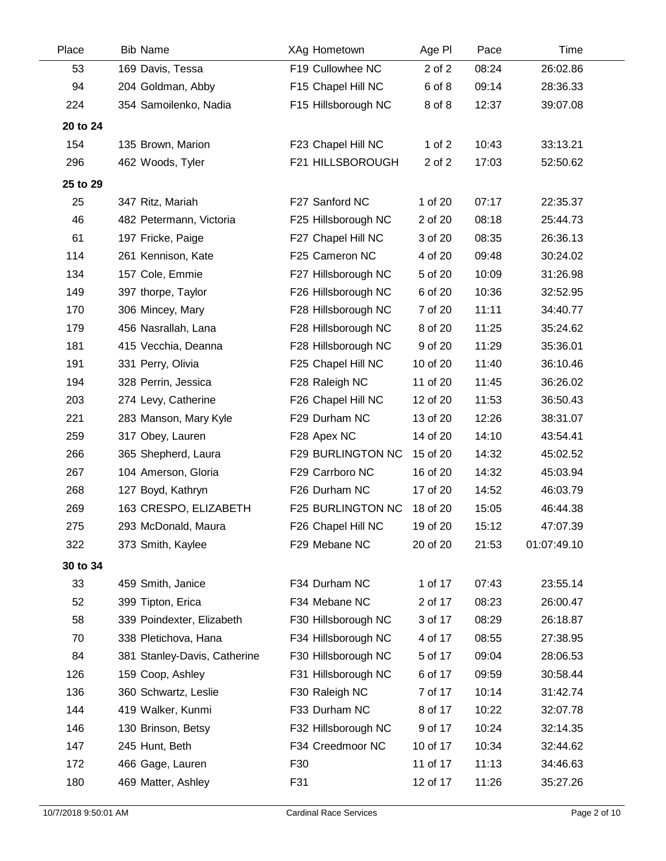| Place    | <b>Bib Name</b>              | XAg Hometown        | Age PI   | Pace  | Time        |
|----------|------------------------------|---------------------|----------|-------|-------------|
| 53       | 169 Davis, Tessa             | F19 Cullowhee NC    | 2 of 2   | 08:24 | 26:02.86    |
| 94       | 204 Goldman, Abby            | F15 Chapel Hill NC  | 6 of 8   | 09:14 | 28:36.33    |
| 224      | 354 Samoilenko, Nadia        | F15 Hillsborough NC | 8 of 8   | 12:37 | 39:07.08    |
| 20 to 24 |                              |                     |          |       |             |
| 154      | 135 Brown, Marion            | F23 Chapel Hill NC  | 1 of $2$ | 10:43 | 33:13.21    |
| 296      | 462 Woods, Tyler             | F21 HILLSBOROUGH    | 2 of 2   | 17:03 | 52:50.62    |
| 25 to 29 |                              |                     |          |       |             |
| 25       | 347 Ritz, Mariah             | F27 Sanford NC      | 1 of 20  | 07:17 | 22:35.37    |
| 46       | 482 Petermann, Victoria      | F25 Hillsborough NC | 2 of 20  | 08:18 | 25:44.73    |
| 61       | 197 Fricke, Paige            | F27 Chapel Hill NC  | 3 of 20  | 08:35 | 26:36.13    |
| 114      | 261 Kennison, Kate           | F25 Cameron NC      | 4 of 20  | 09:48 | 30:24.02    |
| 134      | 157 Cole, Emmie              | F27 Hillsborough NC | 5 of 20  | 10:09 | 31:26.98    |
| 149      | 397 thorpe, Taylor           | F26 Hillsborough NC | 6 of 20  | 10:36 | 32:52.95    |
| 170      | 306 Mincey, Mary             | F28 Hillsborough NC | 7 of 20  | 11:11 | 34:40.77    |
| 179      | 456 Nasrallah, Lana          | F28 Hillsborough NC | 8 of 20  | 11:25 | 35:24.62    |
| 181      | 415 Vecchia, Deanna          | F28 Hillsborough NC | 9 of 20  | 11:29 | 35:36.01    |
| 191      | 331 Perry, Olivia            | F25 Chapel Hill NC  | 10 of 20 | 11:40 | 36:10.46    |
| 194      | 328 Perrin, Jessica          | F28 Raleigh NC      | 11 of 20 | 11:45 | 36:26.02    |
| 203      | 274 Levy, Catherine          | F26 Chapel Hill NC  | 12 of 20 | 11:53 | 36:50.43    |
| 221      | 283 Manson, Mary Kyle        | F29 Durham NC       | 13 of 20 | 12:26 | 38:31.07    |
| 259      | 317 Obey, Lauren             | F28 Apex NC         | 14 of 20 | 14:10 | 43:54.41    |
| 266      | 365 Shepherd, Laura          | F29 BURLINGTON NC   | 15 of 20 | 14:32 | 45:02.52    |
| 267      | 104 Amerson, Gloria          | F29 Carrboro NC     | 16 of 20 | 14:32 | 45:03.94    |
| 268      | 127 Boyd, Kathryn            | F26 Durham NC       | 17 of 20 | 14:52 | 46:03.79    |
| 269      | 163 CRESPO, ELIZABETH        | F25 BURLINGTON NC   | 18 of 20 | 15:05 | 46:44.38    |
| 275      | 293 McDonald, Maura          | F26 Chapel Hill NC  | 19 of 20 | 15:12 | 47:07.39    |
| 322      | 373 Smith, Kaylee            | F29 Mebane NC       | 20 of 20 | 21:53 | 01:07:49.10 |
| 30 to 34 |                              |                     |          |       |             |
| 33       | 459 Smith, Janice            | F34 Durham NC       | 1 of 17  | 07:43 | 23:55.14    |
| 52       | 399 Tipton, Erica            | F34 Mebane NC       | 2 of 17  | 08:23 | 26:00.47    |
| 58       | 339 Poindexter, Elizabeth    | F30 Hillsborough NC | 3 of 17  | 08:29 | 26:18.87    |
| 70       | 338 Pletichova, Hana         | F34 Hillsborough NC | 4 of 17  | 08:55 | 27:38.95    |
| 84       | 381 Stanley-Davis, Catherine | F30 Hillsborough NC | 5 of 17  | 09:04 | 28:06.53    |
| 126      | 159 Coop, Ashley             | F31 Hillsborough NC | 6 of 17  | 09:59 | 30:58.44    |
| 136      | 360 Schwartz, Leslie         | F30 Raleigh NC      | 7 of 17  | 10:14 | 31:42.74    |
| 144      | 419 Walker, Kunmi            | F33 Durham NC       | 8 of 17  | 10:22 | 32:07.78    |
| 146      | 130 Brinson, Betsy           | F32 Hillsborough NC | 9 of 17  | 10:24 | 32:14.35    |
| 147      | 245 Hunt, Beth               | F34 Creedmoor NC    | 10 of 17 | 10:34 | 32:44.62    |
| 172      | 466 Gage, Lauren             | F30                 | 11 of 17 | 11:13 | 34:46.63    |
| 180      | 469 Matter, Ashley           | F31                 | 12 of 17 | 11:26 | 35:27.26    |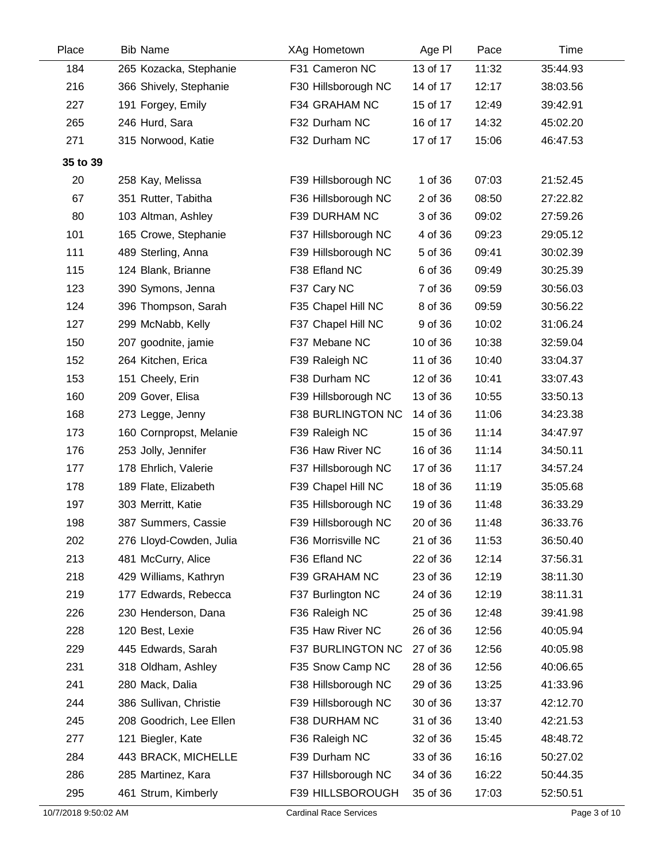| Place    | <b>Bib Name</b>         | XAg Hometown             | Age PI   | Pace  | Time     |  |
|----------|-------------------------|--------------------------|----------|-------|----------|--|
| 184      | 265 Kozacka, Stephanie  | F31 Cameron NC           | 13 of 17 | 11:32 | 35:44.93 |  |
| 216      | 366 Shively, Stephanie  | F30 Hillsborough NC      | 14 of 17 | 12:17 | 38:03.56 |  |
| 227      | 191 Forgey, Emily       | F34 GRAHAM NC            | 15 of 17 | 12:49 | 39:42.91 |  |
| 265      | 246 Hurd, Sara          | F32 Durham NC            | 16 of 17 | 14:32 | 45:02.20 |  |
| 271      | 315 Norwood, Katie      | F32 Durham NC            | 17 of 17 | 15:06 | 46:47.53 |  |
| 35 to 39 |                         |                          |          |       |          |  |
| 20       | 258 Kay, Melissa        | F39 Hillsborough NC      | 1 of 36  | 07:03 | 21:52.45 |  |
| 67       | 351 Rutter, Tabitha     | F36 Hillsborough NC      | 2 of 36  | 08:50 | 27:22.82 |  |
| 80       | 103 Altman, Ashley      | F39 DURHAM NC            | 3 of 36  | 09:02 | 27:59.26 |  |
| 101      | 165 Crowe, Stephanie    | F37 Hillsborough NC      | 4 of 36  | 09:23 | 29:05.12 |  |
| 111      | 489 Sterling, Anna      | F39 Hillsborough NC      | 5 of 36  | 09:41 | 30:02.39 |  |
| 115      | 124 Blank, Brianne      | F38 Efland NC            | 6 of 36  | 09:49 | 30:25.39 |  |
| 123      | 390 Symons, Jenna       | F37 Cary NC              | 7 of 36  | 09:59 | 30:56.03 |  |
| 124      | 396 Thompson, Sarah     | F35 Chapel Hill NC       | 8 of 36  | 09:59 | 30:56.22 |  |
| 127      | 299 McNabb, Kelly       | F37 Chapel Hill NC       | 9 of 36  | 10:02 | 31:06.24 |  |
| 150      | 207 goodnite, jamie     | F37 Mebane NC            | 10 of 36 | 10:38 | 32:59.04 |  |
| 152      | 264 Kitchen, Erica      | F39 Raleigh NC           | 11 of 36 | 10:40 | 33:04.37 |  |
| 153      | 151 Cheely, Erin        | F38 Durham NC            | 12 of 36 | 10:41 | 33:07.43 |  |
| 160      | 209 Gover, Elisa        | F39 Hillsborough NC      | 13 of 36 | 10:55 | 33:50.13 |  |
| 168      | 273 Legge, Jenny        | <b>F38 BURLINGTON NC</b> | 14 of 36 | 11:06 | 34:23.38 |  |
| 173      | 160 Cornpropst, Melanie | F39 Raleigh NC           | 15 of 36 | 11:14 | 34:47.97 |  |
| 176      | 253 Jolly, Jennifer     | F36 Haw River NC         | 16 of 36 | 11:14 | 34:50.11 |  |
| 177      | 178 Ehrlich, Valerie    | F37 Hillsborough NC      | 17 of 36 | 11:17 | 34:57.24 |  |
| 178      | 189 Flate, Elizabeth    | F39 Chapel Hill NC       | 18 of 36 | 11:19 | 35:05.68 |  |
| 197      | 303 Merritt, Katie      | F35 Hillsborough NC      | 19 of 36 | 11:48 | 36:33.29 |  |
| 198      | 387 Summers, Cassie     | F39 Hillsborough NC      | 20 of 36 | 11:48 | 36:33.76 |  |
| 202      | 276 Lloyd-Cowden, Julia | F36 Morrisville NC       | 21 of 36 | 11:53 | 36:50.40 |  |
| 213      | 481 McCurry, Alice      | F36 Efland NC            | 22 of 36 | 12:14 | 37:56.31 |  |
| 218      | 429 Williams, Kathryn   | F39 GRAHAM NC            | 23 of 36 | 12:19 | 38:11.30 |  |
| 219      | 177 Edwards, Rebecca    | F37 Burlington NC        | 24 of 36 | 12:19 | 38:11.31 |  |
| 226      | 230 Henderson, Dana     | F36 Raleigh NC           | 25 of 36 | 12:48 | 39:41.98 |  |
| 228      | 120 Best, Lexie         | F35 Haw River NC         | 26 of 36 | 12:56 | 40:05.94 |  |
| 229      | 445 Edwards, Sarah      | F37 BURLINGTON NC        | 27 of 36 | 12:56 | 40:05.98 |  |
| 231      | 318 Oldham, Ashley      | F35 Snow Camp NC         | 28 of 36 | 12:56 | 40:06.65 |  |
| 241      | 280 Mack, Dalia         | F38 Hillsborough NC      | 29 of 36 | 13:25 | 41:33.96 |  |
| 244      | 386 Sullivan, Christie  | F39 Hillsborough NC      | 30 of 36 | 13:37 | 42:12.70 |  |
| 245      | 208 Goodrich, Lee Ellen | F38 DURHAM NC            | 31 of 36 | 13:40 | 42:21.53 |  |
| 277      | 121 Biegler, Kate       | F36 Raleigh NC           | 32 of 36 | 15:45 | 48:48.72 |  |
| 284      | 443 BRACK, MICHELLE     | F39 Durham NC            | 33 of 36 | 16:16 | 50:27.02 |  |
| 286      | 285 Martinez, Kara      | F37 Hillsborough NC      | 34 of 36 | 16:22 | 50:44.35 |  |
| 295      | 461 Strum, Kimberly     | F39 HILLSBOROUGH         | 35 of 36 | 17:03 | 52:50.51 |  |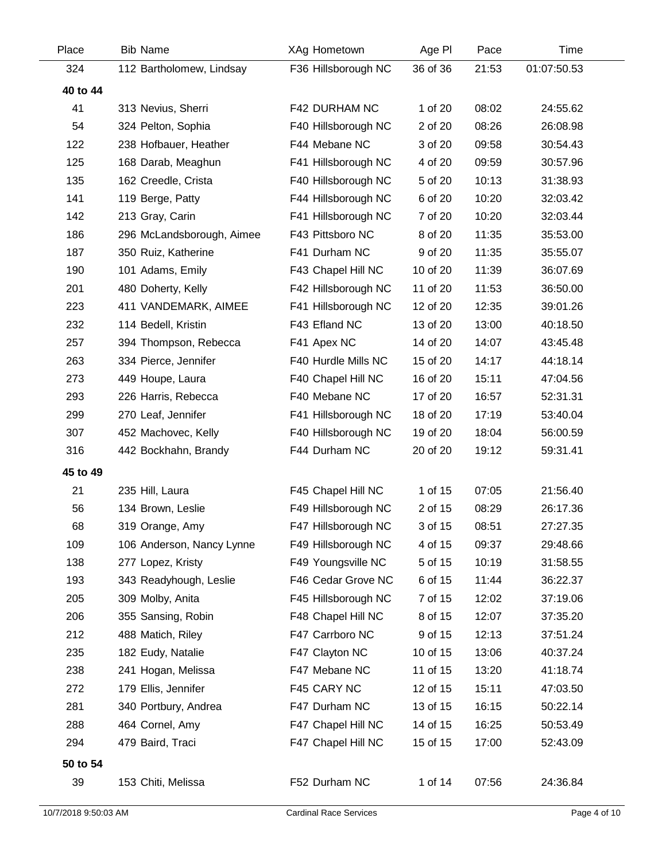| Place    | <b>Bib Name</b>           | XAg Hometown        | Age PI   | Pace  | Time        |
|----------|---------------------------|---------------------|----------|-------|-------------|
| 324      | 112 Bartholomew, Lindsay  | F36 Hillsborough NC | 36 of 36 | 21:53 | 01:07:50.53 |
| 40 to 44 |                           |                     |          |       |             |
| 41       | 313 Nevius, Sherri        | F42 DURHAM NC       | 1 of 20  | 08:02 | 24:55.62    |
| 54       | 324 Pelton, Sophia        | F40 Hillsborough NC | 2 of 20  | 08:26 | 26:08.98    |
| 122      | 238 Hofbauer, Heather     | F44 Mebane NC       | 3 of 20  | 09:58 | 30:54.43    |
| 125      | 168 Darab, Meaghun        | F41 Hillsborough NC | 4 of 20  | 09:59 | 30:57.96    |
| 135      | 162 Creedle, Crista       | F40 Hillsborough NC | 5 of 20  | 10:13 | 31:38.93    |
| 141      | 119 Berge, Patty          | F44 Hillsborough NC | 6 of 20  | 10:20 | 32:03.42    |
| 142      | 213 Gray, Carin           | F41 Hillsborough NC | 7 of 20  | 10:20 | 32:03.44    |
| 186      | 296 McLandsborough, Aimee | F43 Pittsboro NC    | 8 of 20  | 11:35 | 35:53.00    |
| 187      | 350 Ruiz, Katherine       | F41 Durham NC       | 9 of 20  | 11:35 | 35:55.07    |
| 190      | 101 Adams, Emily          | F43 Chapel Hill NC  | 10 of 20 | 11:39 | 36:07.69    |
| 201      | 480 Doherty, Kelly        | F42 Hillsborough NC | 11 of 20 | 11:53 | 36:50.00    |
| 223      | 411 VANDEMARK, AIMEE      | F41 Hillsborough NC | 12 of 20 | 12:35 | 39:01.26    |
| 232      | 114 Bedell, Kristin       | F43 Efland NC       | 13 of 20 | 13:00 | 40:18.50    |
| 257      | 394 Thompson, Rebecca     | F41 Apex NC         | 14 of 20 | 14:07 | 43:45.48    |
| 263      | 334 Pierce, Jennifer      | F40 Hurdle Mills NC | 15 of 20 | 14:17 | 44:18.14    |
| 273      | 449 Houpe, Laura          | F40 Chapel Hill NC  | 16 of 20 | 15:11 | 47:04.56    |
| 293      | 226 Harris, Rebecca       | F40 Mebane NC       | 17 of 20 | 16:57 | 52:31.31    |
| 299      | 270 Leaf, Jennifer        | F41 Hillsborough NC | 18 of 20 | 17:19 | 53:40.04    |
| 307      | 452 Machovec, Kelly       | F40 Hillsborough NC | 19 of 20 | 18:04 | 56:00.59    |
| 316      | 442 Bockhahn, Brandy      | F44 Durham NC       | 20 of 20 | 19:12 | 59:31.41    |
| 45 to 49 |                           |                     |          |       |             |
| 21       | 235 Hill, Laura           | F45 Chapel Hill NC  | 1 of 15  | 07:05 | 21:56.40    |
| 56       | 134 Brown, Leslie         | F49 Hillsborough NC | 2 of 15  | 08:29 | 26:17.36    |
| 68       | 319 Orange, Amy           | F47 Hillsborough NC | 3 of 15  | 08:51 | 27:27.35    |
| 109      | 106 Anderson, Nancy Lynne | F49 Hillsborough NC | 4 of 15  | 09:37 | 29:48.66    |
| 138      | 277 Lopez, Kristy         | F49 Youngsville NC  | 5 of 15  | 10:19 | 31:58.55    |
| 193      | 343 Readyhough, Leslie    | F46 Cedar Grove NC  | 6 of 15  | 11:44 | 36:22.37    |
| 205      | 309 Molby, Anita          | F45 Hillsborough NC | 7 of 15  | 12:02 | 37:19.06    |
| 206      | 355 Sansing, Robin        | F48 Chapel Hill NC  | 8 of 15  | 12:07 | 37:35.20    |
| 212      | 488 Matich, Riley         | F47 Carrboro NC     | 9 of 15  | 12:13 | 37:51.24    |
| 235      | 182 Eudy, Natalie         | F47 Clayton NC      | 10 of 15 | 13:06 | 40:37.24    |
| 238      | 241 Hogan, Melissa        | F47 Mebane NC       | 11 of 15 | 13:20 | 41:18.74    |
| 272      | 179 Ellis, Jennifer       | F45 CARY NC         | 12 of 15 | 15:11 | 47:03.50    |
| 281      | 340 Portbury, Andrea      | F47 Durham NC       | 13 of 15 | 16:15 | 50:22.14    |
| 288      | 464 Cornel, Amy           | F47 Chapel Hill NC  | 14 of 15 | 16:25 | 50:53.49    |
| 294      | 479 Baird, Traci          | F47 Chapel Hill NC  | 15 of 15 | 17:00 | 52:43.09    |
| 50 to 54 |                           |                     |          |       |             |
| 39       | 153 Chiti, Melissa        | F52 Durham NC       | 1 of 14  | 07:56 | 24:36.84    |
|          |                           |                     |          |       |             |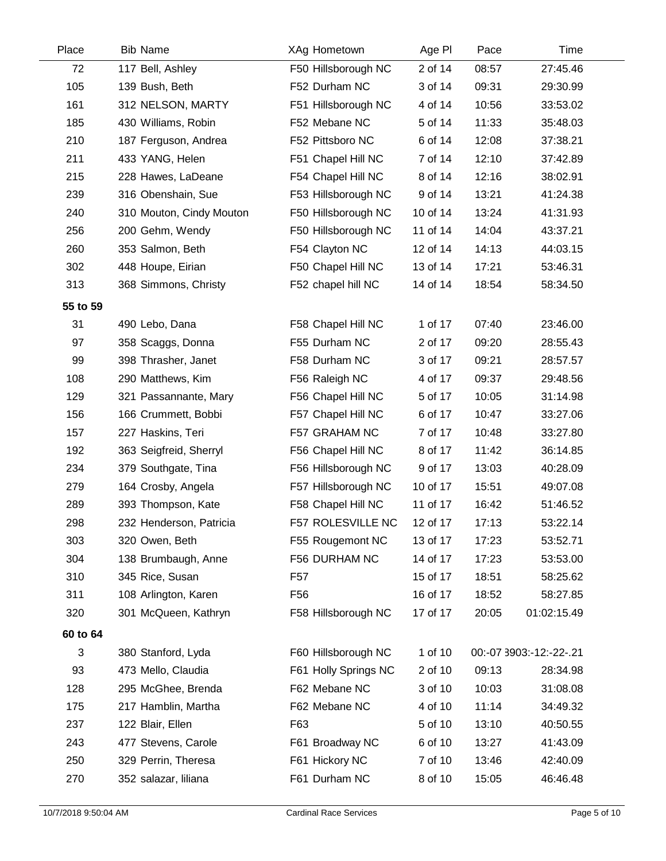| Place    | <b>Bib Name</b>          | XAg Hometown             | Age PI   | Pace  | Time                    |
|----------|--------------------------|--------------------------|----------|-------|-------------------------|
| 72       | 117 Bell, Ashley         | F50 Hillsborough NC      | 2 of 14  | 08:57 | 27:45.46                |
| 105      | 139 Bush, Beth           | F52 Durham NC            | 3 of 14  | 09:31 | 29:30.99                |
| 161      | 312 NELSON, MARTY        | F51 Hillsborough NC      | 4 of 14  | 10:56 | 33:53.02                |
| 185      | 430 Williams, Robin      | F52 Mebane NC            | 5 of 14  | 11:33 | 35:48.03                |
| 210      | 187 Ferguson, Andrea     | F52 Pittsboro NC         | 6 of 14  | 12:08 | 37:38.21                |
| 211      | 433 YANG, Helen          | F51 Chapel Hill NC       | 7 of 14  | 12:10 | 37:42.89                |
| 215      | 228 Hawes, LaDeane       | F54 Chapel Hill NC       | 8 of 14  | 12:16 | 38:02.91                |
| 239      | 316 Obenshain, Sue       | F53 Hillsborough NC      | 9 of 14  | 13:21 | 41:24.38                |
| 240      | 310 Mouton, Cindy Mouton | F50 Hillsborough NC      | 10 of 14 | 13:24 | 41:31.93                |
| 256      | 200 Gehm, Wendy          | F50 Hillsborough NC      | 11 of 14 | 14:04 | 43:37.21                |
| 260      | 353 Salmon, Beth         | F54 Clayton NC           | 12 of 14 | 14:13 | 44:03.15                |
| 302      | 448 Houpe, Eirian        | F50 Chapel Hill NC       | 13 of 14 | 17:21 | 53:46.31                |
| 313      | 368 Simmons, Christy     | F52 chapel hill NC       | 14 of 14 | 18:54 | 58:34.50                |
| 55 to 59 |                          |                          |          |       |                         |
| 31       | 490 Lebo, Dana           | F58 Chapel Hill NC       | 1 of 17  | 07:40 | 23:46.00                |
| 97       | 358 Scaggs, Donna        | F55 Durham NC            | 2 of 17  | 09:20 | 28:55.43                |
| 99       | 398 Thrasher, Janet      | F58 Durham NC            | 3 of 17  | 09:21 | 28:57.57                |
| 108      | 290 Matthews, Kim        | F56 Raleigh NC           | 4 of 17  | 09:37 | 29:48.56                |
| 129      | 321 Passannante, Mary    | F56 Chapel Hill NC       | 5 of 17  | 10:05 | 31:14.98                |
| 156      | 166 Crummett, Bobbi      | F57 Chapel Hill NC       | 6 of 17  | 10:47 | 33:27.06                |
| 157      | 227 Haskins, Teri        | F57 GRAHAM NC            | 7 of 17  | 10:48 | 33:27.80                |
| 192      | 363 Seigfreid, Sherryl   | F56 Chapel Hill NC       | 8 of 17  | 11:42 | 36:14.85                |
| 234      | 379 Southgate, Tina      | F56 Hillsborough NC      | 9 of 17  | 13:03 | 40:28.09                |
| 279      | 164 Crosby, Angela       | F57 Hillsborough NC      | 10 of 17 | 15:51 | 49:07.08                |
| 289      | 393 Thompson, Kate       | F58 Chapel Hill NC       | 11 of 17 | 16:42 | 51:46.52                |
| 298      | 232 Henderson, Patricia  | <b>F57 ROLESVILLE NC</b> | 12 of 17 | 17:13 | 53:22.14                |
| 303      | 320 Owen, Beth           | F55 Rougemont NC         | 13 of 17 | 17:23 | 53:52.71                |
| 304      | 138 Brumbaugh, Anne      | F56 DURHAM NC            | 14 of 17 | 17:23 | 53:53.00                |
| 310      | 345 Rice, Susan          | F57                      | 15 of 17 | 18:51 | 58:25.62                |
| 311      | 108 Arlington, Karen     | F <sub>56</sub>          | 16 of 17 | 18:52 | 58:27.85                |
| 320      | 301 McQueen, Kathryn     | F58 Hillsborough NC      | 17 of 17 | 20:05 | 01:02:15.49             |
| 60 to 64 |                          |                          |          |       |                         |
| 3        | 380 Stanford, Lyda       | F60 Hillsborough NC      | 1 of 10  |       | 00:-07 3903:-12:-22-.21 |
| 93       | 473 Mello, Claudia       | F61 Holly Springs NC     | 2 of 10  | 09:13 | 28:34.98                |
| 128      | 295 McGhee, Brenda       | F62 Mebane NC            | 3 of 10  | 10:03 | 31:08.08                |
| 175      | 217 Hamblin, Martha      | F62 Mebane NC            | 4 of 10  | 11:14 | 34:49.32                |
| 237      | 122 Blair, Ellen         | F63                      | 5 of 10  | 13:10 | 40:50.55                |
| 243      | 477 Stevens, Carole      | F61 Broadway NC          | 6 of 10  | 13:27 | 41:43.09                |
| 250      | 329 Perrin, Theresa      | F61 Hickory NC           | 7 of 10  | 13:46 | 42:40.09                |
| 270      | 352 salazar, liliana     | F61 Durham NC            | 8 of 10  | 15:05 | 46:46.48                |
|          |                          |                          |          |       |                         |

 $\overline{\phantom{0}}$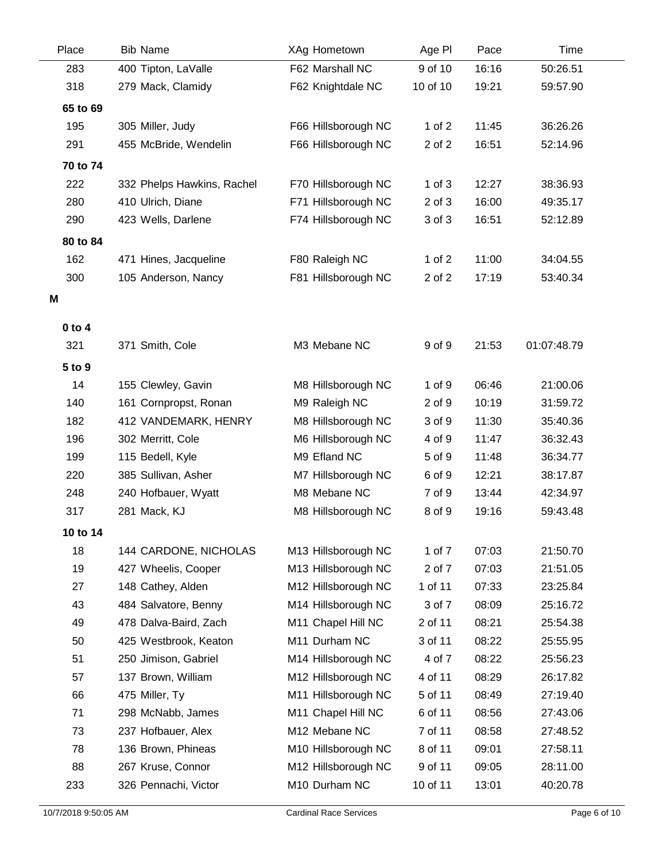| Place      | <b>Bib Name</b>            | XAg Hometown        | Age PI     | Pace  | Time        |  |
|------------|----------------------------|---------------------|------------|-------|-------------|--|
| 283        | 400 Tipton, LaValle        | F62 Marshall NC     | 9 of 10    | 16:16 | 50:26.51    |  |
| 318        | 279 Mack, Clamidy          | F62 Knightdale NC   | 10 of 10   | 19:21 | 59:57.90    |  |
| 65 to 69   |                            |                     |            |       |             |  |
| 195        | 305 Miller, Judy           | F66 Hillsborough NC | 1 of $2$   | 11:45 | 36:26.26    |  |
| 291        | 455 McBride, Wendelin      | F66 Hillsborough NC | 2 of 2     | 16:51 | 52:14.96    |  |
| 70 to 74   |                            |                     |            |       |             |  |
| 222        | 332 Phelps Hawkins, Rachel | F70 Hillsborough NC | $1$ of $3$ | 12:27 | 38:36.93    |  |
| 280        | 410 Ulrich, Diane          | F71 Hillsborough NC | 2 of 3     | 16:00 | 49:35.17    |  |
| 290        | 423 Wells, Darlene         | F74 Hillsborough NC | 3 of 3     | 16:51 | 52:12.89    |  |
| 80 to 84   |                            |                     |            |       |             |  |
| 162        | 471 Hines, Jacqueline      | F80 Raleigh NC      | 1 of $2$   | 11:00 | 34:04.55    |  |
| 300        | 105 Anderson, Nancy        | F81 Hillsborough NC | 2 of 2     | 17:19 | 53:40.34    |  |
| Μ          |                            |                     |            |       |             |  |
|            |                            |                     |            |       |             |  |
| $0$ to $4$ |                            |                     |            |       |             |  |
| 321        | 371 Smith, Cole            | M3 Mebane NC        | 9 of 9     | 21:53 | 01:07:48.79 |  |
| 5 to 9     |                            |                     |            |       |             |  |
| 14         | 155 Clewley, Gavin         | M8 Hillsborough NC  | 1 of 9     | 06:46 | 21:00.06    |  |
| 140        | 161 Cornpropst, Ronan      | M9 Raleigh NC       | 2 of 9     | 10:19 | 31:59.72    |  |
| 182        | 412 VANDEMARK, HENRY       | M8 Hillsborough NC  | 3 of 9     | 11:30 | 35:40.36    |  |
| 196        | 302 Merritt, Cole          | M6 Hillsborough NC  | 4 of 9     | 11:47 | 36:32.43    |  |
| 199        | 115 Bedell, Kyle           | M9 Efland NC        | 5 of 9     | 11:48 | 36:34.77    |  |
| 220        | 385 Sullivan, Asher        | M7 Hillsborough NC  | 6 of 9     | 12:21 | 38:17.87    |  |
| 248        | 240 Hofbauer, Wyatt        | M8 Mebane NC        | 7 of 9     | 13:44 | 42:34.97    |  |
| 317        | 281 Mack, KJ               | M8 Hillsborough NC  | 8 of 9     | 19:16 | 59:43.48    |  |
| 10 to 14   |                            |                     |            |       |             |  |
| 18         | 144 CARDONE, NICHOLAS      | M13 Hillsborough NC | 1 of 7     | 07:03 | 21:50.70    |  |
| 19         | 427 Wheelis, Cooper        | M13 Hillsborough NC | 2 of 7     | 07:03 | 21:51.05    |  |
| 27         | 148 Cathey, Alden          | M12 Hillsborough NC | 1 of 11    | 07:33 | 23:25.84    |  |
| 43         | 484 Salvatore, Benny       | M14 Hillsborough NC | 3 of 7     | 08:09 | 25:16.72    |  |
| 49         | 478 Dalva-Baird, Zach      | M11 Chapel Hill NC  | 2 of 11    | 08:21 | 25:54.38    |  |
| 50         | 425 Westbrook, Keaton      | M11 Durham NC       | 3 of 11    | 08:22 | 25:55.95    |  |
| 51         | 250 Jimison, Gabriel       | M14 Hillsborough NC | 4 of 7     | 08:22 | 25:56.23    |  |
| 57         | 137 Brown, William         | M12 Hillsborough NC | 4 of 11    | 08:29 | 26:17.82    |  |
| 66         | 475 Miller, Ty             | M11 Hillsborough NC | 5 of 11    | 08:49 | 27:19.40    |  |
| 71         | 298 McNabb, James          | M11 Chapel Hill NC  | 6 of 11    | 08:56 | 27:43.06    |  |
| 73         | 237 Hofbauer, Alex         | M12 Mebane NC       | 7 of 11    | 08:58 | 27:48.52    |  |
| 78         | 136 Brown, Phineas         | M10 Hillsborough NC | 8 of 11    | 09:01 | 27:58.11    |  |
| 88         | 267 Kruse, Connor          | M12 Hillsborough NC | 9 of 11    | 09:05 | 28:11.00    |  |
| 233        | 326 Pennachi, Victor       | M10 Durham NC       | 10 of 11   | 13:01 | 40:20.78    |  |

Ĺ,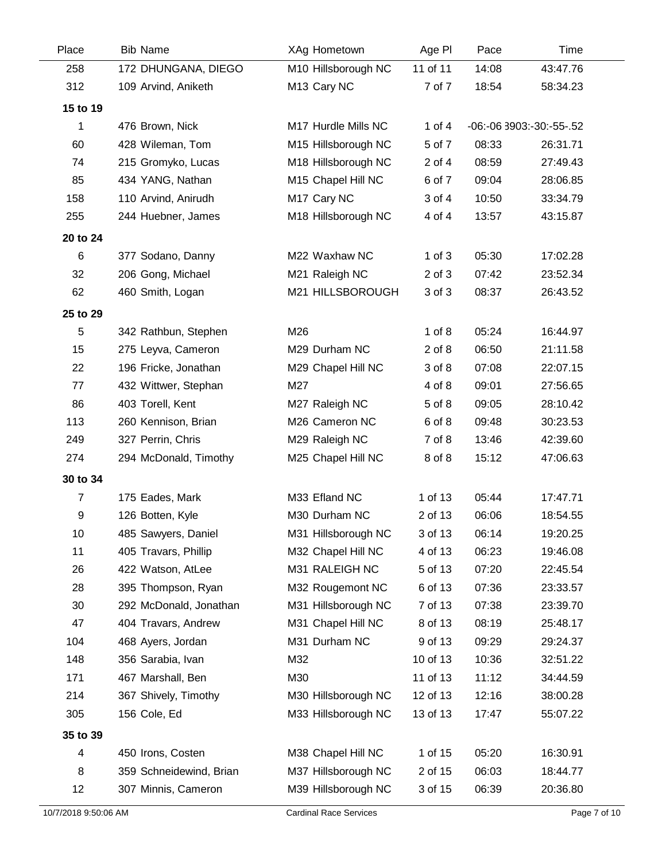| Place                | <b>Bib Name</b>         | XAg Hometown                  | Age PI     | Pace  | Time                     |  |
|----------------------|-------------------------|-------------------------------|------------|-------|--------------------------|--|
| 258                  | 172 DHUNGANA, DIEGO     | M10 Hillsborough NC           | 11 of 11   | 14:08 | 43:47.76                 |  |
| 312                  | 109 Arvind, Aniketh     | M <sub>13</sub> Cary NC       | 7 of 7     | 18:54 | 58:34.23                 |  |
| 15 to 19             |                         |                               |            |       |                          |  |
| 1                    | 476 Brown, Nick         | M17 Hurdle Mills NC           | 1 of $4$   |       | -06:-06 3903:-30:-55-.52 |  |
| 60                   | 428 Wileman, Tom        | M15 Hillsborough NC           | 5 of 7     | 08:33 | 26:31.71                 |  |
| 74                   | 215 Gromyko, Lucas      | M18 Hillsborough NC           | 2 of 4     | 08:59 | 27:49.43                 |  |
| 85                   | 434 YANG, Nathan        | M15 Chapel Hill NC            | 6 of 7     | 09:04 | 28:06.85                 |  |
| 158                  | 110 Arvind, Anirudh     | M <sub>17</sub> Cary NC       | 3 of 4     | 10:50 | 33:34.79                 |  |
| 255                  | 244 Huebner, James      | M18 Hillsborough NC           | 4 of 4     | 13:57 | 43:15.87                 |  |
| 20 to 24             |                         |                               |            |       |                          |  |
| $\,6$                | 377 Sodano, Danny       | M22 Waxhaw NC                 | $1$ of $3$ | 05:30 | 17:02.28                 |  |
| 32                   | 206 Gong, Michael       | M21 Raleigh NC                | $2$ of $3$ | 07:42 | 23:52.34                 |  |
| 62                   | 460 Smith, Logan        | M21 HILLSBOROUGH              | 3 of 3     | 08:37 | 26:43.52                 |  |
| 25 to 29             |                         |                               |            |       |                          |  |
| 5                    | 342 Rathbun, Stephen    | M26                           | $1$ of $8$ | 05:24 | 16:44.97                 |  |
| 15                   | 275 Leyva, Cameron      | M29 Durham NC                 | $2$ of $8$ | 06:50 | 21:11.58                 |  |
| 22                   | 196 Fricke, Jonathan    | M29 Chapel Hill NC            | 3 of 8     | 07:08 | 22:07.15                 |  |
| 77                   | 432 Wittwer, Stephan    | M27                           | 4 of 8     | 09:01 | 27:56.65                 |  |
| 86                   | 403 Torell, Kent        | M27 Raleigh NC                | 5 of 8     | 09:05 | 28:10.42                 |  |
| 113                  | 260 Kennison, Brian     | M26 Cameron NC                | 6 of 8     | 09:48 | 30:23.53                 |  |
| 249                  | 327 Perrin, Chris       | M29 Raleigh NC                | 7 of 8     | 13:46 | 42:39.60                 |  |
| 274                  | 294 McDonald, Timothy   | M25 Chapel Hill NC            | 8 of 8     | 15:12 | 47:06.63                 |  |
| 30 to 34             |                         |                               |            |       |                          |  |
| $\overline{7}$       | 175 Eades, Mark         | M33 Efland NC                 | 1 of 13    | 05:44 | 17:47.71                 |  |
| 9                    | 126 Botten, Kyle        | M30 Durham NC                 | 2 of 13    | 06:06 | 18:54.55                 |  |
| 10                   | 485 Sawyers, Daniel     | M31 Hillsborough NC           | 3 of 13    | 06:14 | 19:20.25                 |  |
| 11                   | 405 Travars, Phillip    | M32 Chapel Hill NC            | 4 of 13    | 06:23 | 19:46.08                 |  |
| 26                   | 422 Watson, AtLee       | M31 RALEIGH NC                | 5 of 13    | 07:20 | 22:45.54                 |  |
| 28                   | 395 Thompson, Ryan      | M32 Rougemont NC              | 6 of 13    | 07:36 | 23:33.57                 |  |
| 30                   | 292 McDonald, Jonathan  | M31 Hillsborough NC           | 7 of 13    | 07:38 | 23:39.70                 |  |
| 47                   | 404 Travars, Andrew     | M31 Chapel Hill NC            | 8 of 13    | 08:19 | 25:48.17                 |  |
| 104                  | 468 Ayers, Jordan       | M31 Durham NC                 | 9 of 13    | 09:29 | 29:24.37                 |  |
| 148                  | 356 Sarabia, Ivan       | M32                           | 10 of 13   | 10:36 | 32:51.22                 |  |
| 171                  | 467 Marshall, Ben       | M30                           | 11 of 13   | 11:12 | 34:44.59                 |  |
| 214                  | 367 Shively, Timothy    | M30 Hillsborough NC           | 12 of 13   | 12:16 | 38:00.28                 |  |
| 305                  | 156 Cole, Ed            | M33 Hillsborough NC           | 13 of 13   | 17:47 | 55:07.22                 |  |
| 35 to 39             |                         |                               |            |       |                          |  |
| 4                    | 450 Irons, Costen       | M38 Chapel Hill NC            | 1 of 15    | 05:20 | 16:30.91                 |  |
| 8                    | 359 Schneidewind, Brian | M37 Hillsborough NC           | 2 of 15    | 06:03 | 18:44.77                 |  |
| 12                   | 307 Minnis, Cameron     | M39 Hillsborough NC           | 3 of 15    | 06:39 | 20:36.80                 |  |
| 10/7/2018 9:50:06 AM |                         | <b>Cardinal Race Services</b> |            |       | Page 7 of 10             |  |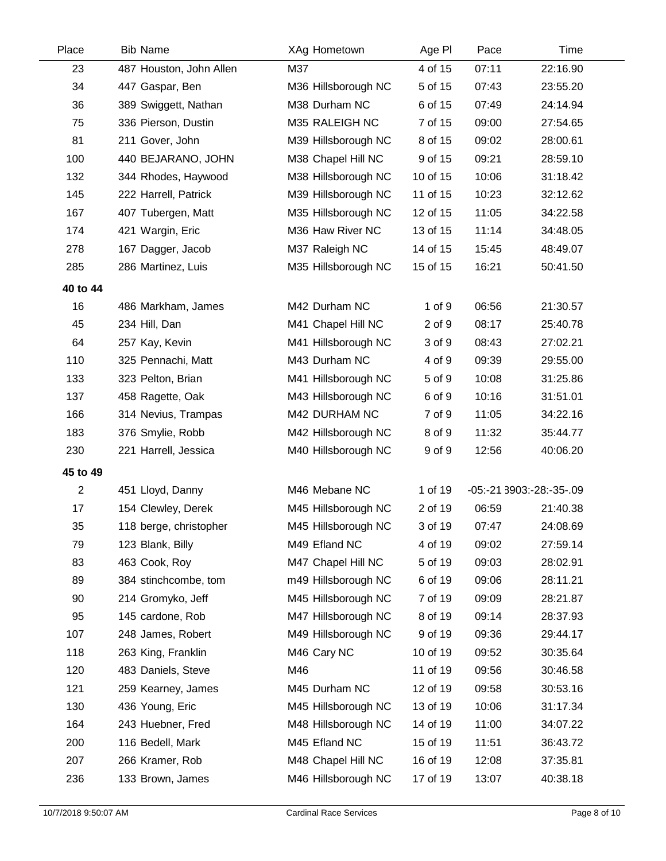| Place          | <b>Bib Name</b>         | XAg Hometown        | Age PI   | Pace  | Time                     |  |
|----------------|-------------------------|---------------------|----------|-------|--------------------------|--|
| 23             | 487 Houston, John Allen | M37                 | 4 of 15  | 07:11 | 22:16.90                 |  |
| 34             | 447 Gaspar, Ben         | M36 Hillsborough NC | 5 of 15  | 07:43 | 23:55.20                 |  |
| 36             | 389 Swiggett, Nathan    | M38 Durham NC       | 6 of 15  | 07:49 | 24:14.94                 |  |
| 75             | 336 Pierson, Dustin     | M35 RALEIGH NC      | 7 of 15  | 09:00 | 27:54.65                 |  |
| 81             | 211 Gover, John         | M39 Hillsborough NC | 8 of 15  | 09:02 | 28:00.61                 |  |
| 100            | 440 BEJARANO, JOHN      | M38 Chapel Hill NC  | 9 of 15  | 09:21 | 28:59.10                 |  |
| 132            | 344 Rhodes, Haywood     | M38 Hillsborough NC | 10 of 15 | 10:06 | 31:18.42                 |  |
| 145            | 222 Harrell, Patrick    | M39 Hillsborough NC | 11 of 15 | 10:23 | 32:12.62                 |  |
| 167            | 407 Tubergen, Matt      | M35 Hillsborough NC | 12 of 15 | 11:05 | 34:22.58                 |  |
| 174            | 421 Wargin, Eric        | M36 Haw River NC    | 13 of 15 | 11:14 | 34:48.05                 |  |
| 278            | 167 Dagger, Jacob       | M37 Raleigh NC      | 14 of 15 | 15:45 | 48:49.07                 |  |
| 285            | 286 Martinez, Luis      | M35 Hillsborough NC | 15 of 15 | 16:21 | 50:41.50                 |  |
| 40 to 44       |                         |                     |          |       |                          |  |
| 16             | 486 Markham, James      | M42 Durham NC       | 1 of 9   | 06:56 | 21:30.57                 |  |
| 45             | 234 Hill, Dan           | M41 Chapel Hill NC  | 2 of 9   | 08:17 | 25:40.78                 |  |
| 64             | 257 Kay, Kevin          | M41 Hillsborough NC | 3 of 9   | 08:43 | 27:02.21                 |  |
| 110            | 325 Pennachi, Matt      | M43 Durham NC       | 4 of 9   | 09:39 | 29:55.00                 |  |
| 133            | 323 Pelton, Brian       | M41 Hillsborough NC | 5 of 9   | 10:08 | 31:25.86                 |  |
| 137            | 458 Ragette, Oak        | M43 Hillsborough NC | 6 of 9   | 10:16 | 31:51.01                 |  |
| 166            | 314 Nevius, Trampas     | M42 DURHAM NC       | 7 of 9   | 11:05 | 34:22.16                 |  |
| 183            | 376 Smylie, Robb        | M42 Hillsborough NC | 8 of 9   | 11:32 | 35:44.77                 |  |
| 230            | 221 Harrell, Jessica    | M40 Hillsborough NC | 9 of 9   | 12:56 | 40:06.20                 |  |
| 45 to 49       |                         |                     |          |       |                          |  |
| $\overline{2}$ | 451 Lloyd, Danny        | M46 Mebane NC       | 1 of 19  |       | -05:-21 3903:-28:-35-.09 |  |
| 17             | 154 Clewley, Derek      | M45 Hillsborough NC | 2 of 19  | 06:59 | 21:40.38                 |  |
| 35             | 118 berge, christopher  | M45 Hillsborough NC | 3 of 19  | 07:47 | 24:08.69                 |  |
| 79             | 123 Blank, Billy        | M49 Efland NC       | 4 of 19  | 09:02 | 27:59.14                 |  |
| 83             | 463 Cook, Roy           | M47 Chapel Hill NC  | 5 of 19  | 09:03 | 28:02.91                 |  |
| 89             | 384 stinchcombe, tom    | m49 Hillsborough NC | 6 of 19  | 09:06 | 28:11.21                 |  |
| 90             | 214 Gromyko, Jeff       | M45 Hillsborough NC | 7 of 19  | 09:09 | 28:21.87                 |  |
| 95             | 145 cardone, Rob        | M47 Hillsborough NC | 8 of 19  | 09:14 | 28:37.93                 |  |
| 107            | 248 James, Robert       | M49 Hillsborough NC | 9 of 19  | 09:36 | 29:44.17                 |  |
| 118            | 263 King, Franklin      | M46 Cary NC         | 10 of 19 | 09:52 | 30:35.64                 |  |
| 120            | 483 Daniels, Steve      | M46                 | 11 of 19 | 09:56 | 30:46.58                 |  |
| 121            | 259 Kearney, James      | M45 Durham NC       | 12 of 19 | 09:58 | 30:53.16                 |  |
| 130            | 436 Young, Eric         | M45 Hillsborough NC | 13 of 19 | 10:06 | 31:17.34                 |  |
| 164            | 243 Huebner, Fred       | M48 Hillsborough NC | 14 of 19 | 11:00 | 34:07.22                 |  |
| 200            | 116 Bedell, Mark        | M45 Efland NC       | 15 of 19 | 11:51 | 36:43.72                 |  |
| 207            | 266 Kramer, Rob         | M48 Chapel Hill NC  | 16 of 19 | 12:08 | 37:35.81                 |  |
| 236            | 133 Brown, James        | M46 Hillsborough NC | 17 of 19 | 13:07 | 40:38.18                 |  |
|                |                         |                     |          |       |                          |  |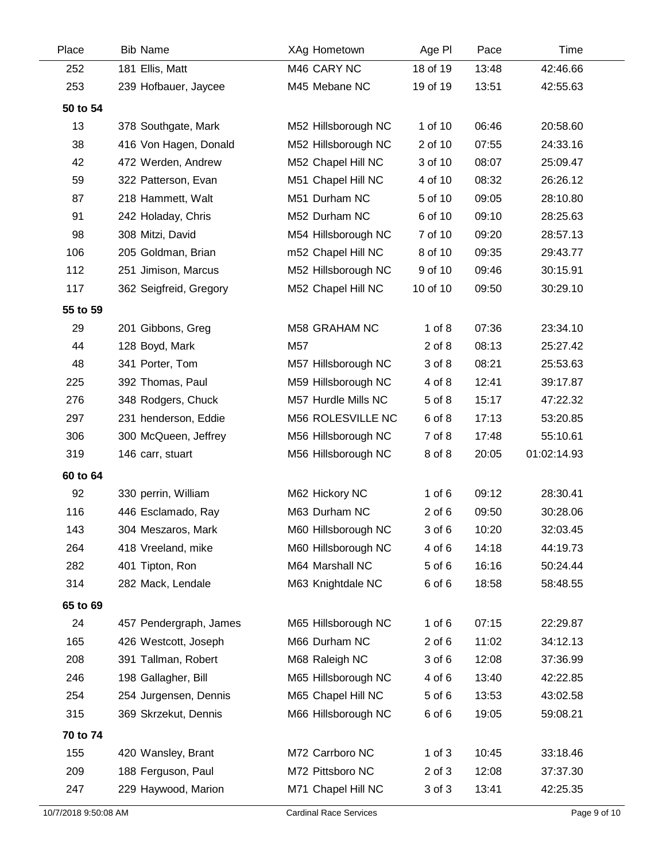| Place    | <b>Bib Name</b>        | XAg Hometown        | Age PI     | Pace  | Time        |
|----------|------------------------|---------------------|------------|-------|-------------|
| 252      | 181 Ellis, Matt        | M46 CARY NC         | 18 of 19   | 13:48 | 42:46.66    |
| 253      | 239 Hofbauer, Jaycee   | M45 Mebane NC       | 19 of 19   | 13:51 | 42:55.63    |
| 50 to 54 |                        |                     |            |       |             |
| 13       | 378 Southgate, Mark    | M52 Hillsborough NC | 1 of 10    | 06:46 | 20:58.60    |
| 38       | 416 Von Hagen, Donald  | M52 Hillsborough NC | 2 of 10    | 07:55 | 24:33.16    |
| 42       | 472 Werden, Andrew     | M52 Chapel Hill NC  | 3 of 10    | 08:07 | 25:09.47    |
| 59       | 322 Patterson, Evan    | M51 Chapel Hill NC  | 4 of 10    | 08:32 | 26:26.12    |
| 87       | 218 Hammett, Walt      | M51 Durham NC       | 5 of 10    | 09:05 | 28:10.80    |
| 91       | 242 Holaday, Chris     | M52 Durham NC       | 6 of 10    | 09:10 | 28:25.63    |
| 98       | 308 Mitzi, David       | M54 Hillsborough NC | 7 of 10    | 09:20 | 28:57.13    |
| 106      | 205 Goldman, Brian     | m52 Chapel Hill NC  | 8 of 10    | 09:35 | 29:43.77    |
| 112      | 251 Jimison, Marcus    | M52 Hillsborough NC | 9 of 10    | 09:46 | 30:15.91    |
| 117      | 362 Seigfreid, Gregory | M52 Chapel Hill NC  | 10 of 10   | 09:50 | 30:29.10    |
| 55 to 59 |                        |                     |            |       |             |
| 29       | 201 Gibbons, Greg      | M58 GRAHAM NC       | $1$ of $8$ | 07:36 | 23:34.10    |
| 44       | 128 Boyd, Mark         | M57                 | $2$ of $8$ | 08:13 | 25:27.42    |
| 48       | 341 Porter, Tom        | M57 Hillsborough NC | 3 of 8     | 08:21 | 25:53.63    |
| 225      | 392 Thomas, Paul       | M59 Hillsborough NC | 4 of 8     | 12:41 | 39:17.87    |
| 276      | 348 Rodgers, Chuck     | M57 Hurdle Mills NC | 5 of 8     | 15:17 | 47:22.32    |
| 297      | 231 henderson, Eddie   | M56 ROLESVILLE NC   | 6 of 8     | 17:13 | 53:20.85    |
| 306      | 300 McQueen, Jeffrey   | M56 Hillsborough NC | 7 of 8     | 17:48 | 55:10.61    |
| 319      | 146 carr, stuart       | M56 Hillsborough NC | 8 of 8     | 20:05 | 01:02:14.93 |
| 60 to 64 |                        |                     |            |       |             |
| 92       | 330 perrin, William    | M62 Hickory NC      | $1$ of $6$ | 09:12 | 28:30.41    |
| 116      | 446 Esclamado, Ray     | M63 Durham NC       | $2$ of $6$ | 09:50 | 30:28.06    |
| 143      | 304 Meszaros, Mark     | M60 Hillsborough NC | 3 of 6     | 10:20 | 32:03.45    |
| 264      | 418 Vreeland, mike     | M60 Hillsborough NC | 4 of 6     | 14:18 | 44:19.73    |
| 282      | 401 Tipton, Ron        | M64 Marshall NC     | 5 of 6     | 16:16 | 50:24.44    |
| 314      | 282 Mack, Lendale      | M63 Knightdale NC   | 6 of 6     | 18:58 | 58:48.55    |
| 65 to 69 |                        |                     |            |       |             |
| 24       | 457 Pendergraph, James | M65 Hillsborough NC | $1$ of $6$ | 07:15 | 22:29.87    |
| 165      | 426 Westcott, Joseph   | M66 Durham NC       | $2$ of $6$ | 11:02 | 34:12.13    |
| 208      | 391 Tallman, Robert    | M68 Raleigh NC      | 3 of 6     | 12:08 | 37:36.99    |
| 246      | 198 Gallagher, Bill    | M65 Hillsborough NC | 4 of 6     | 13:40 | 42:22.85    |
| 254      | 254 Jurgensen, Dennis  | M65 Chapel Hill NC  | 5 of 6     | 13:53 | 43:02.58    |
| 315      | 369 Skrzekut, Dennis   | M66 Hillsborough NC | 6 of 6     | 19:05 | 59:08.21    |
| 70 to 74 |                        |                     |            |       |             |
| 155      | 420 Wansley, Brant     | M72 Carrboro NC     | $1$ of $3$ | 10:45 | 33:18.46    |
| 209      | 188 Ferguson, Paul     | M72 Pittsboro NC    | $2$ of $3$ | 12:08 | 37:37.30    |
| 247      | 229 Haywood, Marion    | M71 Chapel Hill NC  | 3 of 3     | 13:41 | 42:25.35    |
|          |                        |                     |            |       |             |